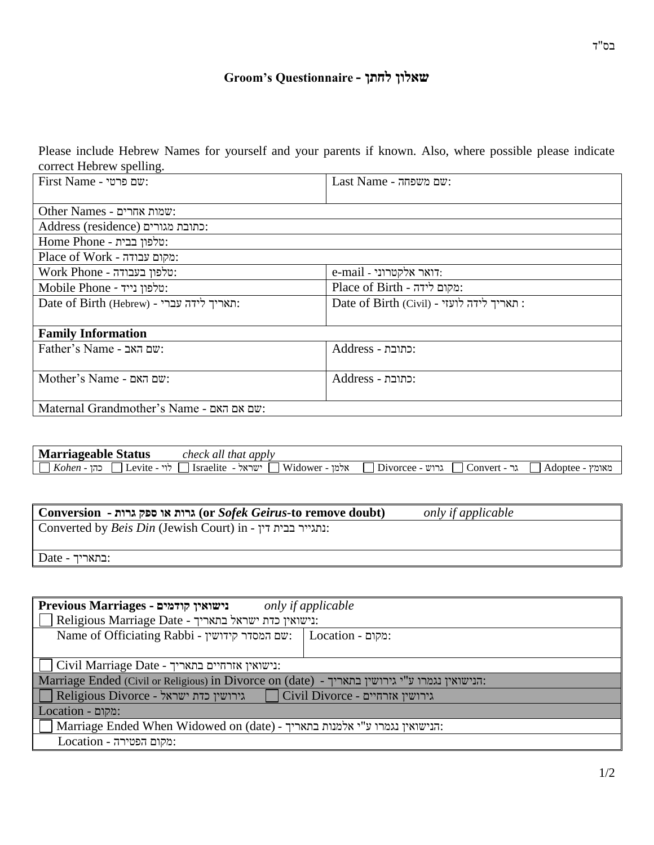# **Groom's Questionnaire - לחתן שאלון**

Please include Hebrew Names for yourself and your parents if known. Also, where possible please indicate correct Hebrew spelling.

| $First$ Name - שם פרטי                    | Last Name - שם משפחה:                    |
|-------------------------------------------|------------------------------------------|
|                                           |                                          |
| Other Names - שמות אחרים:                 |                                          |
| :כתובת מגורים (Address (residence         |                                          |
| <b>Home Phone - יטלפון בבית</b>           |                                          |
| Place of Work - מקום עבודה:               |                                          |
| :טלפון בעבודה - Work Phone                | e-mail - דואר אלקטרוני                   |
| Mobile Phone - יטלפון נייד:               | :מקום לידה - Place of Birth              |
| Date of Birth (Hebrew) - האריך לידה עברי: | Date of Birth (Civil) - תאריך לידה לועזי |
|                                           |                                          |
| <b>Family Information</b>                 |                                          |
| Father's Name - שם האב                    | :כתובת - Address                         |
|                                           |                                          |
| Mother's Name - שם האם                    | :כתובת - Address                         |
|                                           |                                          |
| Maternal Grandmother's Name - שם אם האם   |                                          |

| <b>Marriageable Status</b>                                 | t apply<br>. that<br>check all              |                                        |                  |
|------------------------------------------------------------|---------------------------------------------|----------------------------------------|------------------|
| $\mathbf{r}$<br>$- - -$<br>---<br>Levite<br>Kohen<br>۔ ا ا | Widower<br>שראל:<br>טרמי<br><i>sraelite</i> | <br>--<br>Convert<br>$\Box$ Divorcee - | אומץ.<br>Adoptee |

| $\vert\hskip-2.5pt\vert$ Conversion - גרות או ספק גרות (or Sofek Geirus-to remove doubt) | only if applicable |  |
|------------------------------------------------------------------------------------------|--------------------|--|
| $\parallel$ Converted by <i>Beis Din</i> (Jewish Court) in - נתגייר בבית דין:            |                    |  |
|                                                                                          |                    |  |
| $\vert$ Date - בתאריך:                                                                   |                    |  |

| Previous Marriages - נישואין קודמים<br>only if applicable                                     |  |  |
|-----------------------------------------------------------------------------------------------|--|--|
| $\blacksquare$ Religious Marriage Date - נישואין כדת ישראל בתאריך:                            |  |  |
| Name of Officiating Rabbi - שם המסדר קידושין:   Location - מקום:                              |  |  |
|                                                                                               |  |  |
| $\ \bigsqcup$ Civil Marriage Date - נישואין אזרחיים בתאריך:                                   |  |  |
| Marriage Ended (Civil or Religious) in Divorce on (date) - הנישואין נגמרו ע"י גירושין בתאריך: |  |  |
| $\ \;\ $ Religious Divorce - גירושין כדת גישראל<br>$\vert$ Civil Divorce - גירושין אזרחיים    |  |  |
| Location - מקום:                                                                              |  |  |
| $ \bigcap$ Marriage Ended When Widowed on (date) - הנישואין נגמרו ע"י אלמנות בתאריך.          |  |  |
| $Location - 1$ - מקום הפטירה:                                                                 |  |  |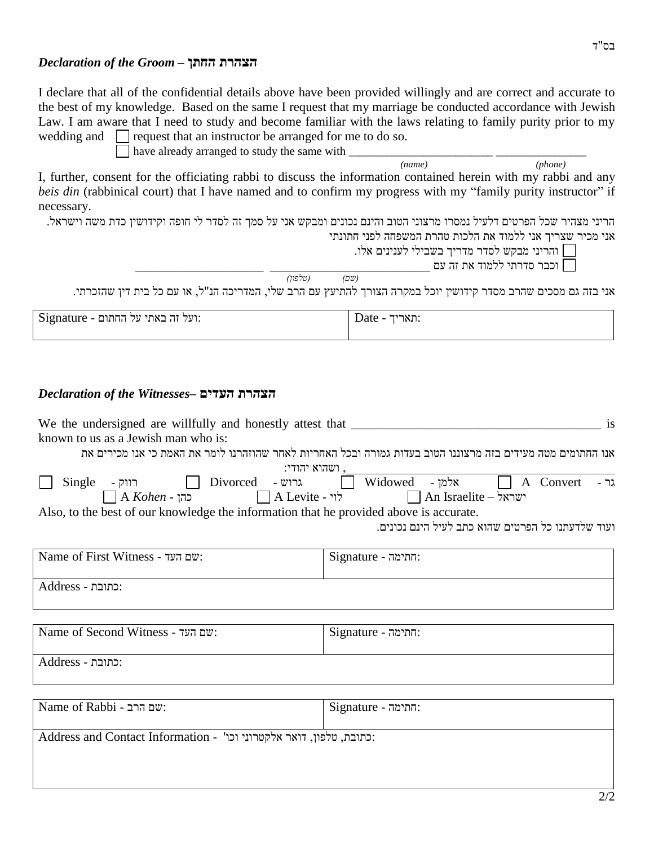#### *Declaration of the Groom* **– החתן הצהרת**

*(name) (phone)*

I declare that all of the confidential details above have been provided willingly and are correct and accurate to the best of my knowledge. Based on the same I request that my marriage be conducted accordance with Jewish Law. I am aware that I need to study and become familiar with the laws relating to family purity prior to my wedding and  $\Box$  request that an instructor be arranged for me to do so.

have already arranged to study the same with  $\frac{1}{(name)}$ 

I, further, consent for the officiating rabbi to discuss the information contained herein with my rabbi and any *beis din* (rabbinical court) that I have named and to confirm my progress with my "family purity instructor" if necessary.

הריני מצהיר שכל הפרטים דלעיל נמסרו מרצוני הטוב והינם נכונים ומבקש אני על סמך זה לסדר לי חופה וקידושין כדת משה וישראל.

אני מכיר שצריך אני ללמוד את הלכות טהרת המשפחה לפני חתונתי

והריני מבקש לסדר מדריך בשבילי לענינים אלו.

וכבר סדרתי ללמוד את זה עם  $\Box$ 

*)שם( )טלפון(*

אני בזה גם מסכים שהרב מסדר קידושין יוכל במקרה הצורך להתיעץ עם הרב שלי, המדריכה הנ"ל, או עם כל בית דין שהזכרתי.

| Signature - ועל החתום: | האריד.<br>Date<br>$\overline{\phantom{a}}$ |
|------------------------|--------------------------------------------|
|                        |                                            |

### *Declaration of the Witnesses***– העדים הצהרת**

| We the undersigned are willfully and honestly attest that _______________________<br>is                      |                                                                                                                                           |  |
|--------------------------------------------------------------------------------------------------------------|-------------------------------------------------------------------------------------------------------------------------------------------|--|
| known to us as a Jewish man who is:                                                                          |                                                                                                                                           |  |
| אנו החתומים מטה מעידים בזה מרצוננו הטוב בעדות גמורה ובכל האחריות לאחר שהוזהרנו לומר את האמת כי אנו מכירים את |                                                                                                                                           |  |
| . ושהוא יהודי:                                                                                               |                                                                                                                                           |  |
|                                                                                                              |                                                                                                                                           |  |
|                                                                                                              | Single - גרוש Divorced - גרוש Widowed - אלמן Widowed - אלמן A Convert - גר $\Box$ A Kohen - הוק בתן A Levite - אלמן An Israelite - אישראל |  |
| Also, to the best of our knowledge the information that he provided above is accurate.                       |                                                                                                                                           |  |
| ועוד שלדעתנו כל הפרטים שהוא כתב לעיל הינם נכונים.                                                            |                                                                                                                                           |  |
|                                                                                                              |                                                                                                                                           |  |
| Name of First Witness - שם העד                                                                               | : התימה - Signature                                                                                                                       |  |
| :כתובת - Address                                                                                             |                                                                                                                                           |  |
|                                                                                                              |                                                                                                                                           |  |
|                                                                                                              |                                                                                                                                           |  |
| Name of Second Witness - שם העד                                                                              | : התימה - Signature                                                                                                                       |  |
|                                                                                                              |                                                                                                                                           |  |
| :כתובת - Address                                                                                             |                                                                                                                                           |  |

Name of Rabbi - התימה: Signature - התימה: Signature - חתימה :כתובת, טלפון, דואר אלקטרוני וכו' - Address and Contact Information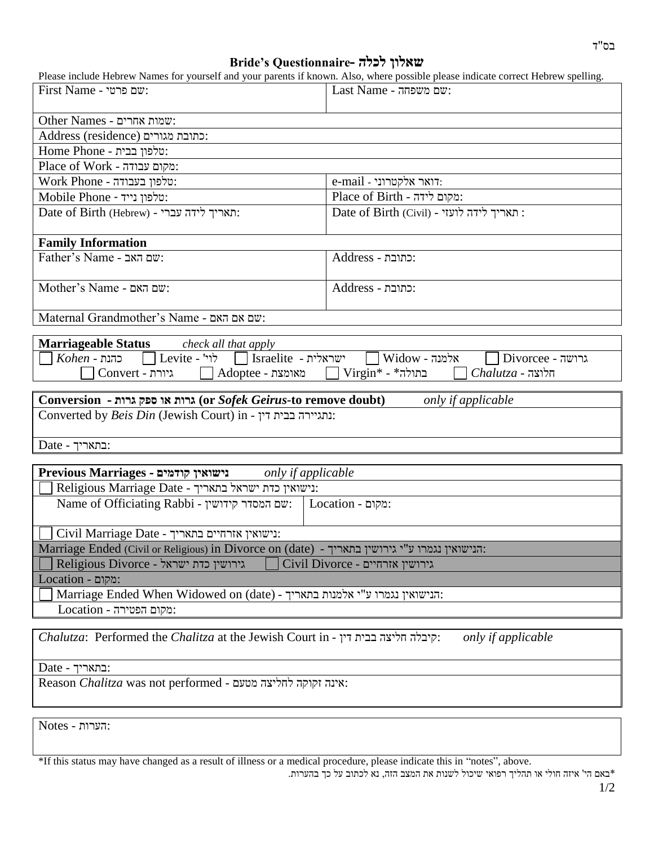## **Bride's Questionnaire- לכלה שאלון**

| Please include Hebrew Names for yourself and your parents if known. Also, where possible please indicate correct Hebrew spelling. |                                                 |  |
|-----------------------------------------------------------------------------------------------------------------------------------|-------------------------------------------------|--|
| First Name - שם פרטי                                                                                                              | Last Name - שם משפחה:                           |  |
|                                                                                                                                   |                                                 |  |
| Other Names - שמות אחרים:                                                                                                         |                                                 |  |
| :כתובת מגורים (Address (residence                                                                                                 |                                                 |  |
| :טלפון בבית - Home Phone                                                                                                          |                                                 |  |
| Place of Work - מקום עבודה:                                                                                                       |                                                 |  |
| :טלפון בעבודה - Work Phone                                                                                                        | $e$ -mail - דואר אלקטרוני.                      |  |
| Mobile Phone - יטלפון נייד:                                                                                                       | :מקום לידה - Place of Birth                     |  |
| Date of Birth (Hebrew) - תאריך לידה עברי                                                                                          | Date of Birth (Civil) - תאריך לידה לועזי        |  |
| <b>Family Information</b>                                                                                                         |                                                 |  |
| Father's Name - שם האב                                                                                                            | :כתובת - Address                                |  |
| Mother's Name - שם האם                                                                                                            | :כתובת - Address                                |  |
| Maternal Grandmother's Name - שם אם האם                                                                                           |                                                 |  |
|                                                                                                                                   |                                                 |  |
| <b>Marriageable Status</b><br>check all that apply                                                                                |                                                 |  |
| $Kohen$ - כהנת - Levite - לוי' - Israelite - ישראלית                                                                              | $\Box$ Widow - אלמנה<br>$\Box$ Divorcee - גרושה |  |
| $\exists$ Virgin* - *בתולה<br>$\Delta$ מאומצת - $\Box$<br>$Chalutza$ - חלוצה<br>Convert - גיורת                                   |                                                 |  |
| Conversion - גרות או ספק גרות (or Sofek Geirus-to remove doubt)<br>only if applicable                                             |                                                 |  |
| Converted by Beis Din (Jewish Court) in - נתגיירה בבית דין:                                                                       |                                                 |  |
|                                                                                                                                   |                                                 |  |
| $Date - $ בתאריך:                                                                                                                 |                                                 |  |
|                                                                                                                                   |                                                 |  |
| Previous Marriages - נישואין קודמים<br>only if applicable                                                                         |                                                 |  |
| Religious Marriage Date - נישואין כדת ישראל בתאריך:                                                                               |                                                 |  |
| Name of Officiating Rabbi - שם המסדר קידושין:<br>:מקום - Location                                                                 |                                                 |  |
| Civil Marriage Date - נישואין אזרחיים בתאריך:                                                                                     |                                                 |  |
| Marriage Ended (Civil or Religious) in Divorce on (date) - הנישואין נגמרו ע"י גירושין בתאריך:                                     |                                                 |  |
| Religious Divorce - גירושין כדת ישראל<br>Civil Divorce - גירושין אזרחיים                                                          |                                                 |  |
| :מקום - Location                                                                                                                  |                                                 |  |
| Marriage Ended When Widowed on (date) - הנישואין נגמרו ע"י אלמנות בתאריך.                                                         |                                                 |  |
| $Location - 1$ - מקום הפטירה                                                                                                      |                                                 |  |
|                                                                                                                                   |                                                 |  |
| Chalutza: Performed the Chalitza at the Jewish Court in - יִדְיבלה חליצה בבית דין:                                                | only if applicable                              |  |
| $Date - 2$ : בתאריך:                                                                                                              |                                                 |  |

Reason *Chalitza* was not performed - מטעם לחליצה זקוקה אינה:

:הערות - Notes

\*If this status may have changed as a result of illness or a medical procedure, please indicate this in "notes", above. \*באם הי' איזה חולי או תהליך רפואי שיכול לשנות את המצב הזה, נא לכתוב על כך בהערות.